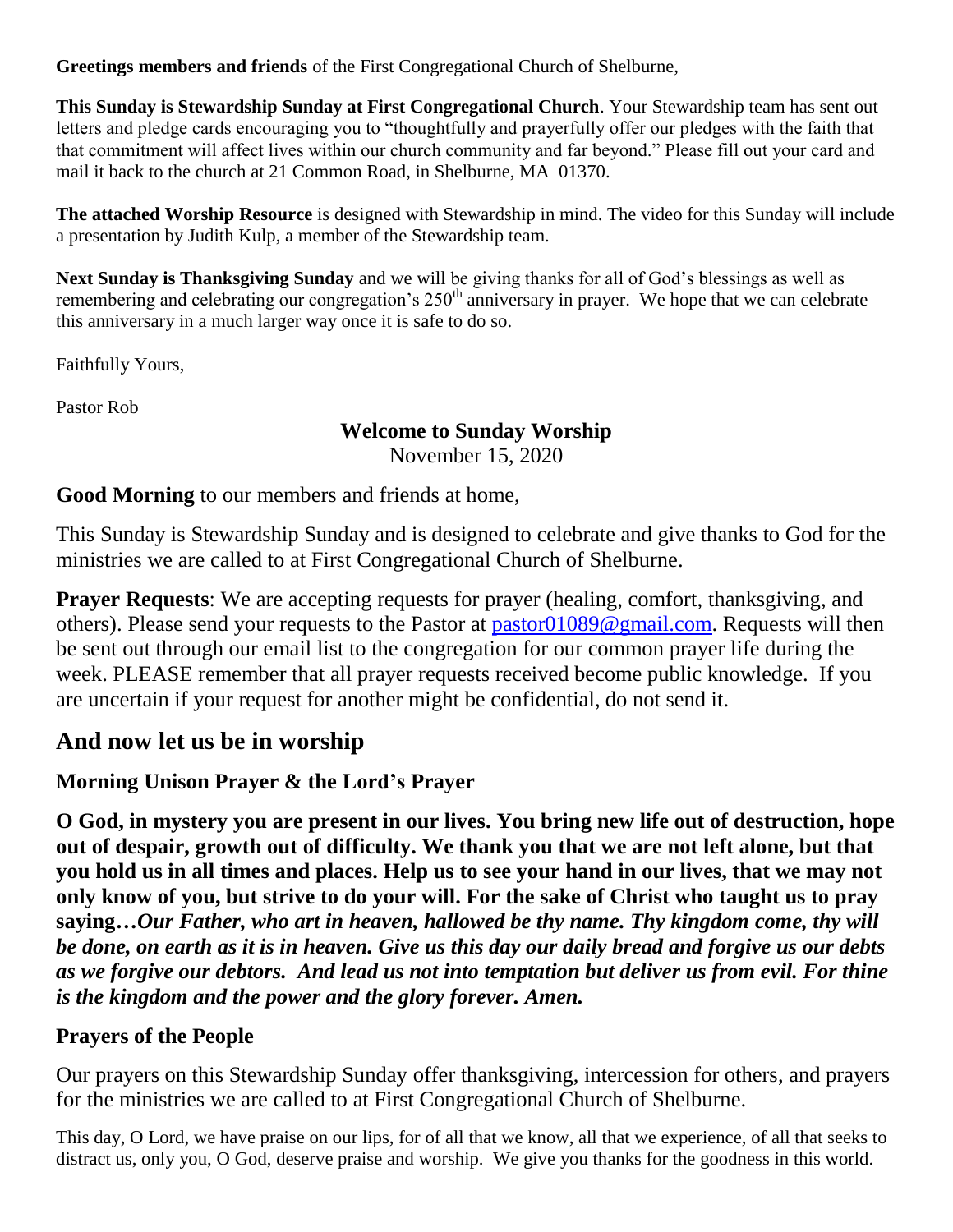**Greetings members and friends** of the First Congregational Church of Shelburne,

**This Sunday is Stewardship Sunday at First Congregational Church**. Your Stewardship team has sent out letters and pledge cards encouraging you to "thoughtfully and prayerfully offer our pledges with the faith that that commitment will affect lives within our church community and far beyond." Please fill out your card and mail it back to the church at 21 Common Road, in Shelburne, MA 01370.

**The attached Worship Resource** is designed with Stewardship in mind. The video for this Sunday will include a presentation by Judith Kulp, a member of the Stewardship team.

**Next Sunday is Thanksgiving Sunday** and we will be giving thanks for all of God's blessings as well as remembering and celebrating our congregation's 250<sup>th</sup> anniversary in prayer. We hope that we can celebrate this anniversary in a much larger way once it is safe to do so.

Faithfully Yours,

Pastor Rob

# **Welcome to Sunday Worship**

November 15, 2020

**Good Morning** to our members and friends at home,

This Sunday is Stewardship Sunday and is designed to celebrate and give thanks to God for the ministries we are called to at First Congregational Church of Shelburne.

**Prayer Requests:** We are accepting requests for prayer (healing, comfort, thanksgiving, and others). Please send your requests to the Pastor at [pastor01089@gmail.com.](mailto:pastor01089@gmail.com) Requests will then be sent out through our email list to the congregation for our common prayer life during the week. PLEASE remember that all prayer requests received become public knowledge. If you are uncertain if your request for another might be confidential, do not send it.

# **And now let us be in worship**

# **Morning Unison Prayer & the Lord's Prayer**

**O God, in mystery you are present in our lives. You bring new life out of destruction, hope out of despair, growth out of difficulty. We thank you that we are not left alone, but that you hold us in all times and places. Help us to see your hand in our lives, that we may not only know of you, but strive to do your will. For the sake of Christ who taught us to pray saying…***Our Father, who art in heaven, hallowed be thy name. Thy kingdom come, thy will be done, on earth as it is in heaven. Give us this day our daily bread and forgive us our debts as we forgive our debtors. And lead us not into temptation but deliver us from evil. For thine is the kingdom and the power and the glory forever. Amen.*

### **Prayers of the People**

Our prayers on this Stewardship Sunday offer thanksgiving, intercession for others, and prayers for the ministries we are called to at First Congregational Church of Shelburne.

This day, O Lord, we have praise on our lips, for of all that we know, all that we experience, of all that seeks to distract us, only you, O God, deserve praise and worship. We give you thanks for the goodness in this world.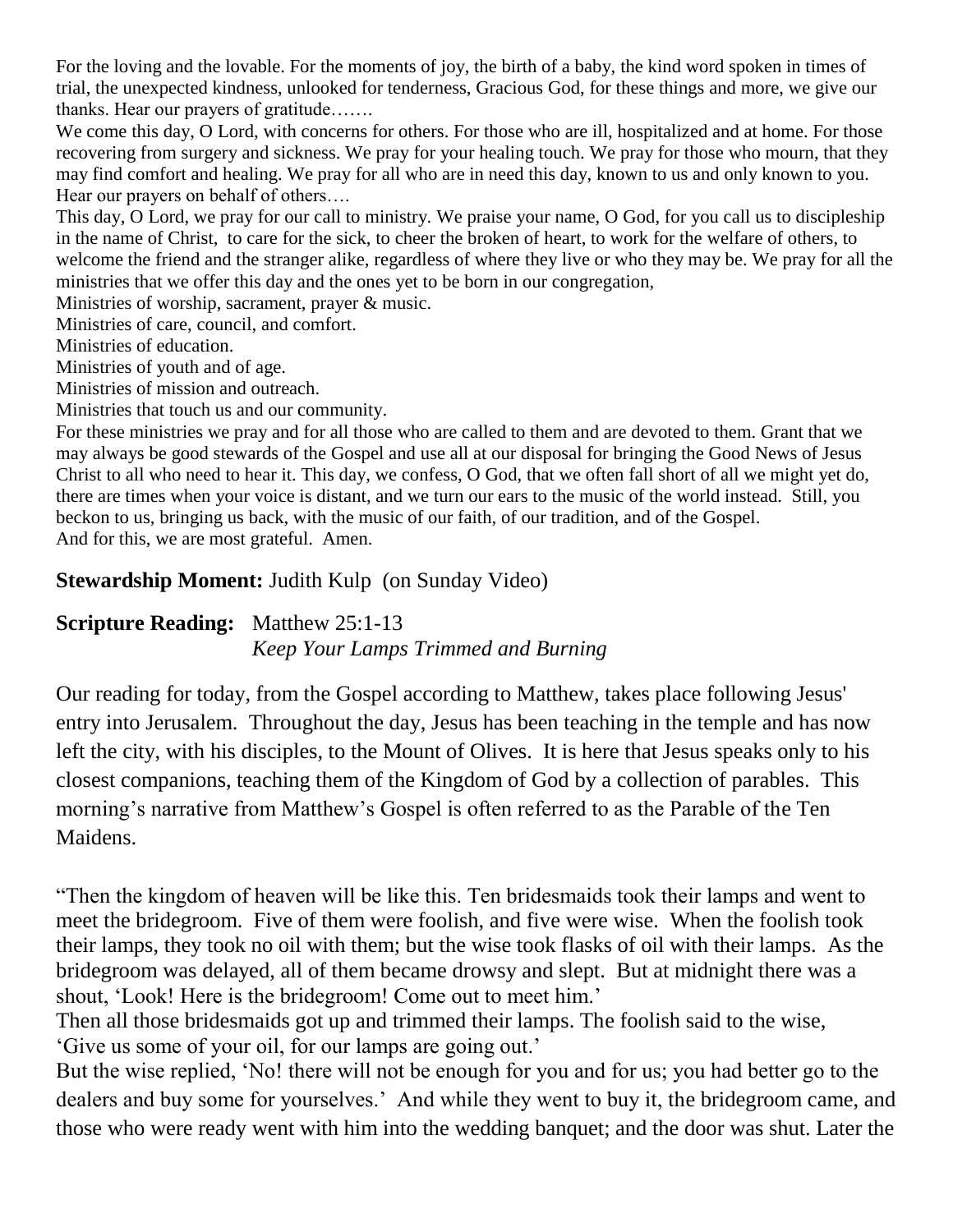For the loving and the lovable. For the moments of joy, the birth of a baby, the kind word spoken in times of trial, the unexpected kindness, unlooked for tenderness, Gracious God, for these things and more, we give our thanks. Hear our prayers of gratitude…….

We come this day, O Lord, with concerns for others. For those who are ill, hospitalized and at home. For those recovering from surgery and sickness. We pray for your healing touch. We pray for those who mourn, that they may find comfort and healing. We pray for all who are in need this day, known to us and only known to you. Hear our prayers on behalf of others….

This day, O Lord, we pray for our call to ministry. We praise your name, O God, for you call us to discipleship in the name of Christ, to care for the sick, to cheer the broken of heart, to work for the welfare of others, to welcome the friend and the stranger alike, regardless of where they live or who they may be. We pray for all the ministries that we offer this day and the ones yet to be born in our congregation,

Ministries of worship, sacrament, prayer & music.

Ministries of care, council, and comfort.

Ministries of education.

Ministries of youth and of age.

Ministries of mission and outreach.

Ministries that touch us and our community.

For these ministries we pray and for all those who are called to them and are devoted to them. Grant that we may always be good stewards of the Gospel and use all at our disposal for bringing the Good News of Jesus Christ to all who need to hear it. This day, we confess, O God, that we often fall short of all we might yet do, there are times when your voice is distant, and we turn our ears to the music of the world instead. Still, you beckon to us, bringing us back, with the music of our faith, of our tradition, and of the Gospel. And for this, we are most grateful. Amen.

### **Stewardship Moment:** Judith Kulp (on Sunday Video)

### **Scripture Reading:** Matthew 25:1-13 *Keep Your Lamps Trimmed and Burning*

Our reading for today, from the Gospel according to Matthew, takes place following Jesus' entry into Jerusalem. Throughout the day, Jesus has been teaching in the temple and has now left the city, with his disciples, to the Mount of Olives. It is here that Jesus speaks only to his closest companions, teaching them of the Kingdom of God by a collection of parables. This morning's narrative from Matthew's Gospel is often referred to as the Parable of the Ten Maidens.

"Then the kingdom of heaven will be like this. Ten bridesmaids took their lamps and went to meet the bridegroom. Five of them were foolish, and five were wise. When the foolish took their lamps, they took no oil with them; but the wise took flasks of oil with their lamps. As the bridegroom was delayed, all of them became drowsy and slept. But at midnight there was a shout, 'Look! Here is the bridegroom! Come out to meet him.'

Then all those bridesmaids got up and trimmed their lamps. The foolish said to the wise, 'Give us some of your oil, for our lamps are going out.'

But the wise replied, 'No! there will not be enough for you and for us; you had better go to the dealers and buy some for yourselves.' And while they went to buy it, the bridegroom came, and those who were ready went with him into the wedding banquet; and the door was shut. Later the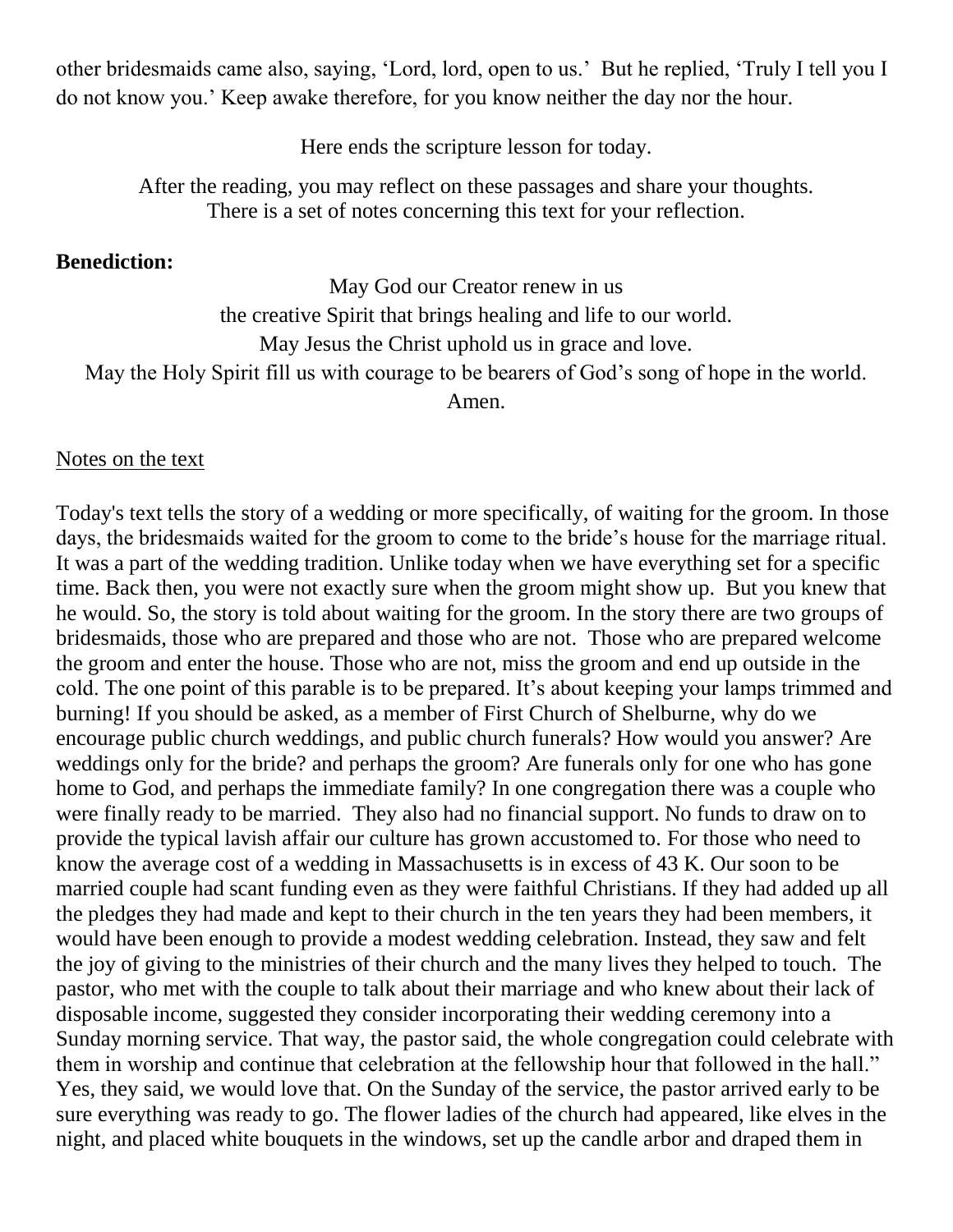other bridesmaids came also, saying, 'Lord, lord, open to us.' But he replied, 'Truly I tell you I do not know you.' Keep awake therefore, for you know neither the day nor the hour.

Here ends the scripture lesson for today.

After the reading, you may reflect on these passages and share your thoughts. There is a set of notes concerning this text for your reflection.

#### **Benediction:**

May God our Creator renew in us the creative Spirit that brings healing and life to our world. May Jesus the Christ uphold us in grace and love.

May the Holy Spirit fill us with courage to be bearers of God's song of hope in the world.

Amen.

#### Notes on the text

Today's text tells the story of a wedding or more specifically, of waiting for the groom. In those days, the bridesmaids waited for the groom to come to the bride's house for the marriage ritual. It was a part of the wedding tradition. Unlike today when we have everything set for a specific time. Back then, you were not exactly sure when the groom might show up. But you knew that he would. So, the story is told about waiting for the groom. In the story there are two groups of bridesmaids, those who are prepared and those who are not. Those who are prepared welcome the groom and enter the house. Those who are not, miss the groom and end up outside in the cold. The one point of this parable is to be prepared. It's about keeping your lamps trimmed and burning! If you should be asked, as a member of First Church of Shelburne, why do we encourage public church weddings, and public church funerals? How would you answer? Are weddings only for the bride? and perhaps the groom? Are funerals only for one who has gone home to God, and perhaps the immediate family? In one congregation there was a couple who were finally ready to be married. They also had no financial support. No funds to draw on to provide the typical lavish affair our culture has grown accustomed to. For those who need to know the average cost of a wedding in Massachusetts is in excess of 43 K. Our soon to be married couple had scant funding even as they were faithful Christians. If they had added up all the pledges they had made and kept to their church in the ten years they had been members, it would have been enough to provide a modest wedding celebration. Instead, they saw and felt the joy of giving to the ministries of their church and the many lives they helped to touch. The pastor, who met with the couple to talk about their marriage and who knew about their lack of disposable income, suggested they consider incorporating their wedding ceremony into a Sunday morning service. That way, the pastor said, the whole congregation could celebrate with them in worship and continue that celebration at the fellowship hour that followed in the hall." Yes, they said, we would love that. On the Sunday of the service, the pastor arrived early to be sure everything was ready to go. The flower ladies of the church had appeared, like elves in the night, and placed white bouquets in the windows, set up the candle arbor and draped them in